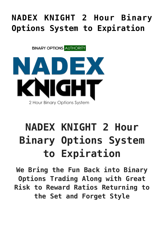## **[NADEX KNIGHT 2 Hour Binary](https://binaryoptionsauthority.com/nadex-knight-2-hour-binary-options-system-expiration/) [Options System to Expiration](https://binaryoptionsauthority.com/nadex-knight-2-hour-binary-options-system-expiration/)**

**BINARY OPTIONS AUTHORITY** 



## **NADEX KNIGHT 2 Hour Binary Options System to Expiration**

**We Bring the Fun Back into Binary Options Trading Along with Great Risk to Reward Ratios Returning to the Set and Forget Style**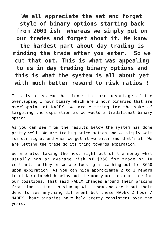**We all appreciate the set and forget style of binary options starting back from 2009 ish whereas we simply put on our trades and forget about it. We know the hardest part about day trading is minding the trade after you enter. So we cut that out. This is what was appealing to us in day trading binary options and this is what the system is all about yet with much better reward to risk ratios !**

This is a system that looks to take advantage of the overlapping 1 hour binary which are 2 hour binaries that are overlapping at NADEX. We are entering for the sake of targeting the expiration as we would a traditional binary option.

As you can see from the results below the system has done pretty well. We are trading price action and we simply wait for our signal and when we get it we enter and that's it! We are letting the trade do its thing towards expiration.

We are also taking the next right out of the money what usually has an average risk of \$350 for trade on 10 contract. so they or we are looking at cashing out for \$650 upon expiration. As you can nice approximate 2 to 1 reward to risk ratio which helps put the money math on our side for our positions. That said NADEX changes around their pricing from time to time so sign up with them and check out their demo to see anything different but these NADEX 2 hour / NADEX 1hour binaries have held pretty consistent over the years.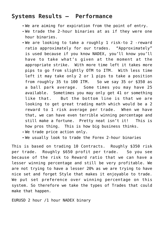## **Systems Results – Performance**

- We are aiming for expiration from the point of entry.
- We trade the 2-hour binaries at as if they were one hour binaries.
- We are looking to take a roughly 1 risk-to 2 -reward ratio approximately for our trades. "Approximately" is used because if you know NADEX, you'll know you'll have to take what's given at the moment at the appropriate strike. With more time left it takes more pips to go from slightly OTM to ITM. With less time left it may take only 2 or 1 pips to take a position from roughly 35 to 100 ITM. So we say 35 or \$350 as a ball park average. Some times you may have 25 available. Sometimes you may only get 41 or something like that. But the bottom line is that we are looking to get great trading math which would be a 2 reward to 1 risk average per trade. When we have that, we can have even terrible winning percentage and still make a fortune. Pretty neat isn't it! This is how pros thing. This is how big business thinks.
- We trade price action only.
- We usually look to trade the Forex 2-hour binaries

This is based on trading 10 Contracts. Roughly \$350 risk per trade. Roughly \$650 profit per trade. So you see because of the risk to Reward ratio that we can have a lesser winning percentage and still be very profitable. We are not trying to have a lesser 20% as we are trying to have nice set and forget Style that makes it enjoyable to trade. We put set preference over winning percentage on this system. So therefore we take the types of Trades that could make that happen.

EURUSD 2 hour /1 hour NADEX binary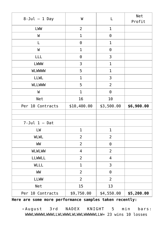| $8$ -Jul - 1 Day   | W              | L              | Net<br>Profit |
|--------------------|----------------|----------------|---------------|
| LWW                | $\overline{2}$ | $\mathbf 1$    |               |
| W                  | $\mathbf 1$    | $\Theta$       |               |
| L                  | $\Theta$       | $\mathbf 1$    |               |
| W                  | $\mathbf{1}$   | $\Theta$       |               |
| LLL                | $\Theta$       | 3              |               |
| LWWW               | 3              | $\mathbf{1}$   |               |
| <b>WLWWW</b>       | 5              | $\mathbf{1}$   |               |
| <b>LLWL</b>        | 1              | 3              |               |
| <b>WLLWWW</b>      | 5              | $\overline{2}$ |               |
| W                  | $\mathbf{1}$   | $\Theta$       |               |
| Net                | 16             | 10             |               |
| Per 10 Contracts   | \$10,400.00    | \$3,500.00     | \$6,900.00    |
|                    |                |                |               |
| $7$ -Jul $1 -$ Dat |                |                |               |
| LW                 | $\mathbf{1}$   | $\mathbf 1$    |               |
| <b>WLWL</b>        | 2              | 2              |               |
| WW                 | $\overline{2}$ | $\Theta$       |               |
| <b>WLWLWW</b>      | $\overline{4}$ | $\overline{2}$ |               |
| <b>LLWWLL</b>      | $\overline{2}$ | $\overline{4}$ |               |
| WLLL               | $\mathbf 1$    | 3              |               |
| WW                 | $\overline{2}$ | $\Theta$       |               |
| <b>LLWW</b>        | $\overline{2}$ | $\overline{2}$ |               |
| Net                | 15             | 13             |               |
| Per 10 Contracts   | \$9,750.00     | \$4,550.00     | \$5,200.00    |

**Here are some more performance samples taken recently:**

August 3rd NADEX KNIGHT 5 min bars: WWWLWWWWLWWWLLWLWWWLWLWWLWWWWWLLW= 23 wins 10 losses